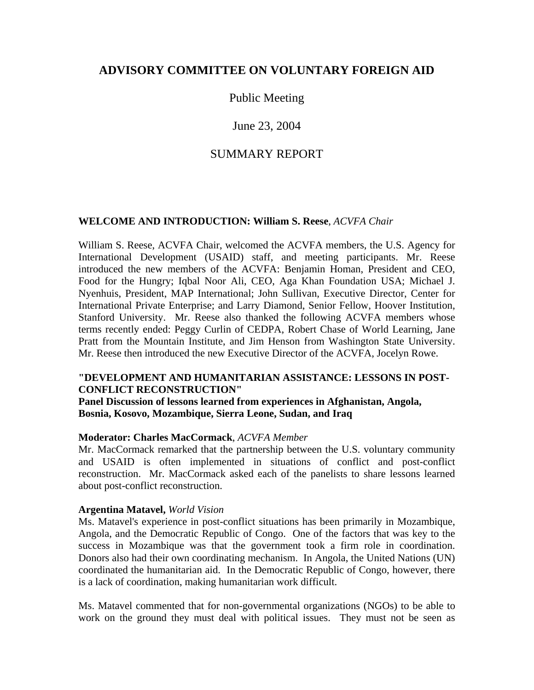# **ADVISORY COMMITTEE ON VOLUNTARY FOREIGN AID**

# Public Meeting

# June 23, 2004

# SUMMARY REPORT

#### **WELCOME AND INTRODUCTION: William S. Reese**, *ACVFA Chair*

William S. Reese, ACVFA Chair, welcomed the ACVFA members, the U.S. Agency for International Development (USAID) staff, and meeting participants. Mr. Reese introduced the new members of the ACVFA: Benjamin Homan, President and CEO, Food for the Hungry; Iqbal Noor Ali, CEO, Aga Khan Foundation USA; Michael J. Nyenhuis, President, MAP International; John Sullivan, Executive Director, Center for International Private Enterprise; and Larry Diamond, Senior Fellow, Hoover Institution, Stanford University. Mr. Reese also thanked the following ACVFA members whose terms recently ended: Peggy Curlin of CEDPA, Robert Chase of World Learning, Jane Pratt from the Mountain Institute, and Jim Henson from Washington State University. Mr. Reese then introduced the new Executive Director of the ACVFA, Jocelyn Rowe.

#### **"DEVELOPMENT AND HUMANITARIAN ASSISTANCE: LESSONS IN POST-CONFLICT RECONSTRUCTION"**

#### **Panel Discussion of lessons learned from experiences in Afghanistan, Angola, Bosnia, Kosovo, Mozambique, Sierra Leone, Sudan, and Iraq**

#### **Moderator: Charles MacCormack**, *ACVFA Member*

Mr. MacCormack remarked that the partnership between the U.S. voluntary community and USAID is often implemented in situations of conflict and post-conflict reconstruction. Mr. MacCormack asked each of the panelists to share lessons learned about post-conflict reconstruction.

#### **Argentina Matavel,** *World Vision*

Ms. Matavel's experience in post-conflict situations has been primarily in Mozambique, Angola, and the Democratic Republic of Congo. One of the factors that was key to the success in Mozambique was that the government took a firm role in coordination. Donors also had their own coordinating mechanism. In Angola, the United Nations (UN) coordinated the humanitarian aid. In the Democratic Republic of Congo, however, there is a lack of coordination, making humanitarian work difficult.

Ms. Matavel commented that for non-governmental organizations (NGOs) to be able to work on the ground they must deal with political issues. They must not be seen as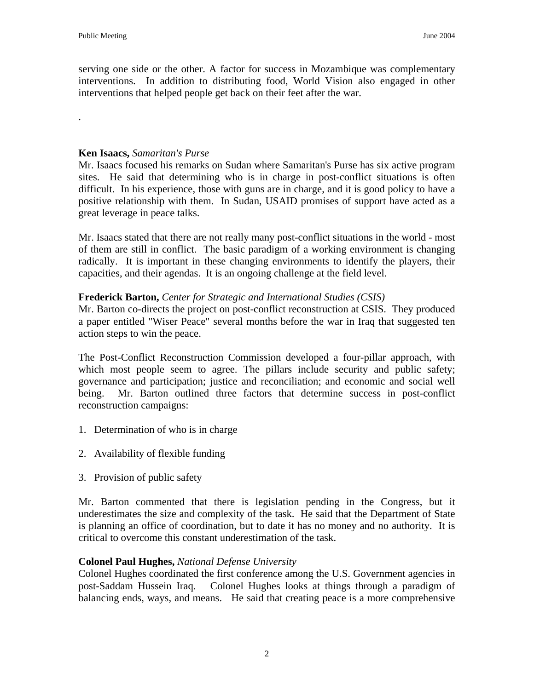.

serving one side or the other. A factor for success in Mozambique was complementary interventions. In addition to distributing food, World Vision also engaged in other interventions that helped people get back on their feet after the war.

### **Ken Isaacs,** *Samaritan's Purse*

Mr. Isaacs focused his remarks on Sudan where Samaritan's Purse has six active program sites. He said that determining who is in charge in post-conflict situations is often difficult. In his experience, those with guns are in charge, and it is good policy to have a positive relationship with them. In Sudan, USAID promises of support have acted as a great leverage in peace talks.

Mr. Isaacs stated that there are not really many post-conflict situations in the world - most of them are still in conflict. The basic paradigm of a working environment is changing radically. It is important in these changing environments to identify the players, their capacities, and their agendas. It is an ongoing challenge at the field level.

## **Frederick Barton,** *Center for Strategic and International Studies (CSIS)*

Mr. Barton co-directs the project on post-conflict reconstruction at CSIS. They produced a paper entitled "Wiser Peace" several months before the war in Iraq that suggested ten action steps to win the peace.

The Post-Conflict Reconstruction Commission developed a four-pillar approach, with which most people seem to agree. The pillars include security and public safety; governance and participation; justice and reconciliation; and economic and social well being. Mr. Barton outlined three factors that determine success in post-conflict reconstruction campaigns:

- 1. Determination of who is in charge
- 2. Availability of flexible funding
- 3. Provision of public safety

Mr. Barton commented that there is legislation pending in the Congress, but it underestimates the size and complexity of the task. He said that the Department of State is planning an office of coordination, but to date it has no money and no authority. It is critical to overcome this constant underestimation of the task.

## **Colonel Paul Hughes,** *National Defense University*

Colonel Hughes coordinated the first conference among the U.S. Government agencies in post-Saddam Hussein Iraq. Colonel Hughes looks at things through a paradigm of balancing ends, ways, and means. He said that creating peace is a more comprehensive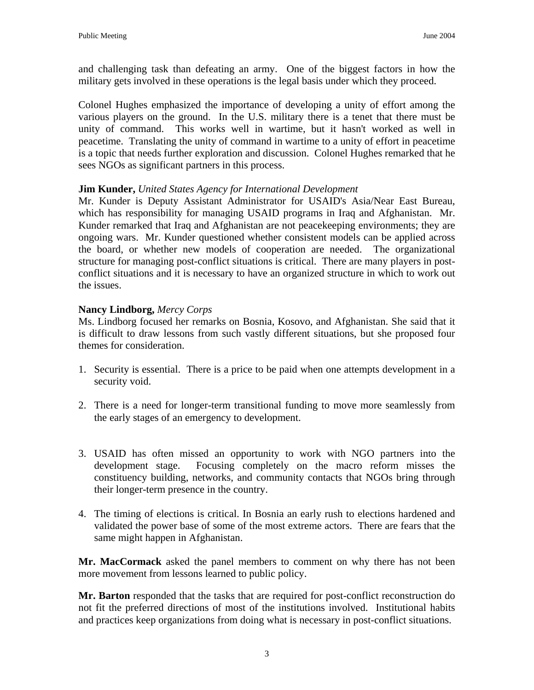and challenging task than defeating an army. One of the biggest factors in how the military gets involved in these operations is the legal basis under which they proceed.

Colonel Hughes emphasized the importance of developing a unity of effort among the various players on the ground. In the U.S. military there is a tenet that there must be unity of command. This works well in wartime, but it hasn't worked as well in peacetime. Translating the unity of command in wartime to a unity of effort in peacetime is a topic that needs further exploration and discussion. Colonel Hughes remarked that he sees NGOs as significant partners in this process.

## **Jim Kunder,** *United States Agency for International Development*

Mr. Kunder is Deputy Assistant Administrator for USAID's Asia/Near East Bureau, which has responsibility for managing USAID programs in Iraq and Afghanistan. Mr. Kunder remarked that Iraq and Afghanistan are not peacekeeping environments; they are ongoing wars. Mr. Kunder questioned whether consistent models can be applied across the board, or whether new models of cooperation are needed. The organizational structure for managing post-conflict situations is critical. There are many players in postconflict situations and it is necessary to have an organized structure in which to work out the issues.

## **Nancy Lindborg,** *Mercy Corps*

Ms. Lindborg focused her remarks on Bosnia, Kosovo, and Afghanistan. She said that it is difficult to draw lessons from such vastly different situations, but she proposed four themes for consideration.

- 1. Security is essential. There is a price to be paid when one attempts development in a security void.
- 2. There is a need for longer-term transitional funding to move more seamlessly from the early stages of an emergency to development.
- 3. USAID has often missed an opportunity to work with NGO partners into the development stage. Focusing completely on the macro reform misses the constituency building, networks, and community contacts that NGOs bring through their longer-term presence in the country.
- 4. The timing of elections is critical. In Bosnia an early rush to elections hardened and validated the power base of some of the most extreme actors. There are fears that the same might happen in Afghanistan.

**Mr. MacCormack** asked the panel members to comment on why there has not been more movement from lessons learned to public policy.

**Mr. Barton** responded that the tasks that are required for post-conflict reconstruction do not fit the preferred directions of most of the institutions involved. Institutional habits and practices keep organizations from doing what is necessary in post-conflict situations.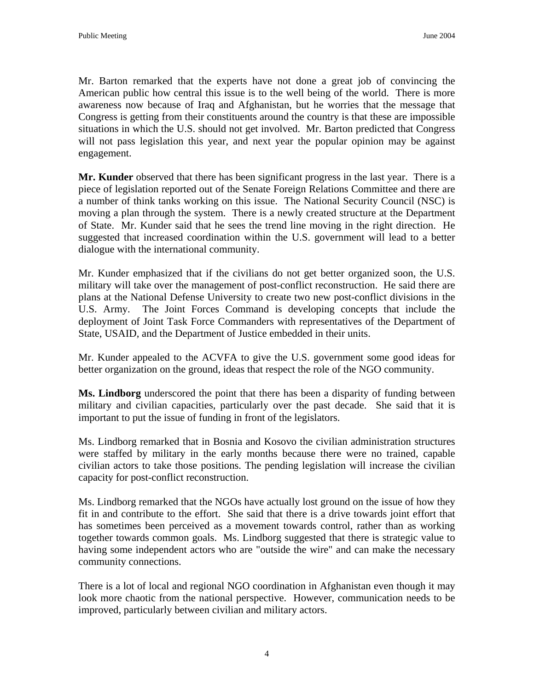Mr. Barton remarked that the experts have not done a great job of convincing the American public how central this issue is to the well being of the world. There is more awareness now because of Iraq and Afghanistan, but he worries that the message that Congress is getting from their constituents around the country is that these are impossible situations in which the U.S. should not get involved. Mr. Barton predicted that Congress will not pass legislation this year, and next year the popular opinion may be against engagement.

**Mr. Kunder** observed that there has been significant progress in the last year. There is a piece of legislation reported out of the Senate Foreign Relations Committee and there are a number of think tanks working on this issue. The National Security Council (NSC) is moving a plan through the system. There is a newly created structure at the Department of State. Mr. Kunder said that he sees the trend line moving in the right direction. He suggested that increased coordination within the U.S. government will lead to a better dialogue with the international community.

Mr. Kunder emphasized that if the civilians do not get better organized soon, the U.S. military will take over the management of post-conflict reconstruction. He said there are plans at the National Defense University to create two new post-conflict divisions in the U.S. Army. The Joint Forces Command is developing concepts that include the deployment of Joint Task Force Commanders with representatives of the Department of State, USAID, and the Department of Justice embedded in their units.

Mr. Kunder appealed to the ACVFA to give the U.S. government some good ideas for better organization on the ground, ideas that respect the role of the NGO community.

**Ms. Lindborg** underscored the point that there has been a disparity of funding between military and civilian capacities, particularly over the past decade. She said that it is important to put the issue of funding in front of the legislators.

Ms. Lindborg remarked that in Bosnia and Kosovo the civilian administration structures were staffed by military in the early months because there were no trained, capable civilian actors to take those positions. The pending legislation will increase the civilian capacity for post-conflict reconstruction.

Ms. Lindborg remarked that the NGOs have actually lost ground on the issue of how they fit in and contribute to the effort. She said that there is a drive towards joint effort that has sometimes been perceived as a movement towards control, rather than as working together towards common goals. Ms. Lindborg suggested that there is strategic value to having some independent actors who are "outside the wire" and can make the necessary community connections.

There is a lot of local and regional NGO coordination in Afghanistan even though it may look more chaotic from the national perspective. However, communication needs to be improved, particularly between civilian and military actors.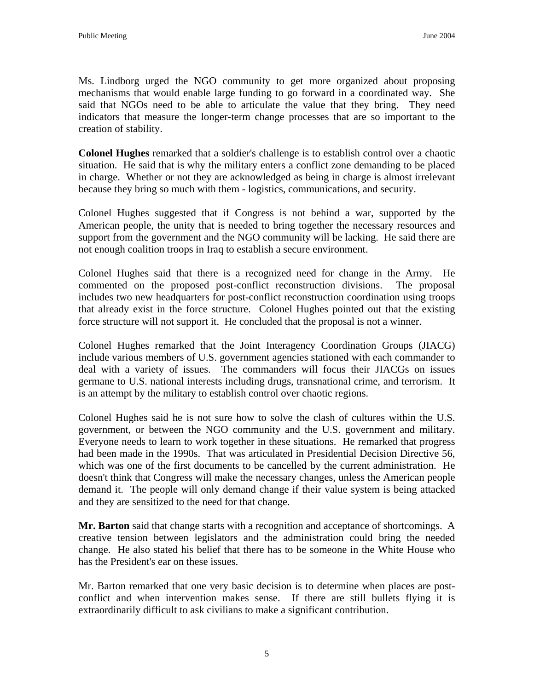Ms. Lindborg urged the NGO community to get more organized about proposing mechanisms that would enable large funding to go forward in a coordinated way. She said that NGOs need to be able to articulate the value that they bring. They need indicators that measure the longer-term change processes that are so important to the creation of stability.

**Colonel Hughes** remarked that a soldier's challenge is to establish control over a chaotic situation. He said that is why the military enters a conflict zone demanding to be placed in charge. Whether or not they are acknowledged as being in charge is almost irrelevant because they bring so much with them - logistics, communications, and security.

Colonel Hughes suggested that if Congress is not behind a war, supported by the American people, the unity that is needed to bring together the necessary resources and support from the government and the NGO community will be lacking. He said there are not enough coalition troops in Iraq to establish a secure environment.

Colonel Hughes said that there is a recognized need for change in the Army. He commented on the proposed post-conflict reconstruction divisions. The proposal includes two new headquarters for post-conflict reconstruction coordination using troops that already exist in the force structure. Colonel Hughes pointed out that the existing force structure will not support it. He concluded that the proposal is not a winner.

Colonel Hughes remarked that the Joint Interagency Coordination Groups (JIACG) include various members of U.S. government agencies stationed with each commander to deal with a variety of issues. The commanders will focus their JIACGs on issues germane to U.S. national interests including drugs, transnational crime, and terrorism. It is an attempt by the military to establish control over chaotic regions.

Colonel Hughes said he is not sure how to solve the clash of cultures within the U.S. government, or between the NGO community and the U.S. government and military. Everyone needs to learn to work together in these situations. He remarked that progress had been made in the 1990s. That was articulated in Presidential Decision Directive 56, which was one of the first documents to be cancelled by the current administration. He doesn't think that Congress will make the necessary changes, unless the American people demand it. The people will only demand change if their value system is being attacked and they are sensitized to the need for that change.

**Mr. Barton** said that change starts with a recognition and acceptance of shortcomings. A creative tension between legislators and the administration could bring the needed change. He also stated his belief that there has to be someone in the White House who has the President's ear on these issues.

Mr. Barton remarked that one very basic decision is to determine when places are postconflict and when intervention makes sense. If there are still bullets flying it is extraordinarily difficult to ask civilians to make a significant contribution.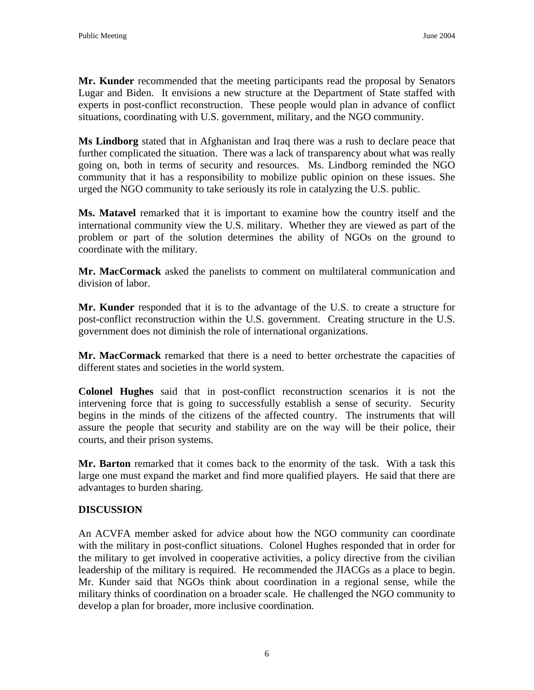**Mr. Kunder** recommended that the meeting participants read the proposal by Senators Lugar and Biden. It envisions a new structure at the Department of State staffed with experts in post-conflict reconstruction. These people would plan in advance of conflict situations, coordinating with U.S. government, military, and the NGO community.

**Ms Lindborg** stated that in Afghanistan and Iraq there was a rush to declare peace that further complicated the situation. There was a lack of transparency about what was really going on, both in terms of security and resources. Ms. Lindborg reminded the NGO community that it has a responsibility to mobilize public opinion on these issues. She urged the NGO community to take seriously its role in catalyzing the U.S. public.

**Ms. Matavel** remarked that it is important to examine how the country itself and the international community view the U.S. military. Whether they are viewed as part of the problem or part of the solution determines the ability of NGOs on the ground to coordinate with the military.

**Mr. MacCormack** asked the panelists to comment on multilateral communication and division of labor.

**Mr. Kunder** responded that it is to the advantage of the U.S. to create a structure for post-conflict reconstruction within the U.S. government. Creating structure in the U.S. government does not diminish the role of international organizations.

**Mr. MacCormack** remarked that there is a need to better orchestrate the capacities of different states and societies in the world system.

**Colonel Hughes** said that in post-conflict reconstruction scenarios it is not the intervening force that is going to successfully establish a sense of security. Security begins in the minds of the citizens of the affected country. The instruments that will assure the people that security and stability are on the way will be their police, their courts, and their prison systems.

**Mr. Barton** remarked that it comes back to the enormity of the task. With a task this large one must expand the market and find more qualified players. He said that there are advantages to burden sharing.

# **DISCUSSION**

An ACVFA member asked for advice about how the NGO community can coordinate with the military in post-conflict situations. Colonel Hughes responded that in order for the military to get involved in cooperative activities, a policy directive from the civilian leadership of the military is required. He recommended the JIACGs as a place to begin. Mr. Kunder said that NGOs think about coordination in a regional sense, while the military thinks of coordination on a broader scale. He challenged the NGO community to develop a plan for broader, more inclusive coordination.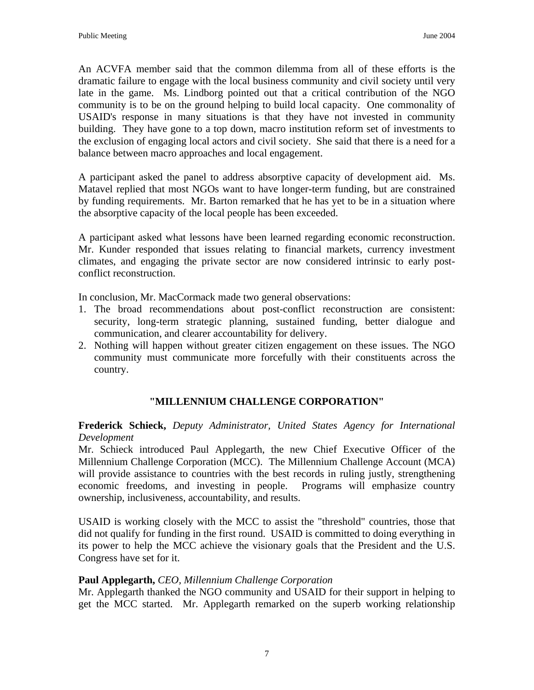An ACVFA member said that the common dilemma from all of these efforts is the dramatic failure to engage with the local business community and civil society until very late in the game. Ms. Lindborg pointed out that a critical contribution of the NGO community is to be on the ground helping to build local capacity. One commonality of USAID's response in many situations is that they have not invested in community building. They have gone to a top down, macro institution reform set of investments to the exclusion of engaging local actors and civil society. She said that there is a need for a balance between macro approaches and local engagement.

A participant asked the panel to address absorptive capacity of development aid. Ms. Matavel replied that most NGOs want to have longer-term funding, but are constrained by funding requirements. Mr. Barton remarked that he has yet to be in a situation where the absorptive capacity of the local people has been exceeded.

A participant asked what lessons have been learned regarding economic reconstruction. Mr. Kunder responded that issues relating to financial markets, currency investment climates, and engaging the private sector are now considered intrinsic to early postconflict reconstruction.

In conclusion, Mr. MacCormack made two general observations:

- 1. The broad recommendations about post-conflict reconstruction are consistent: security, long-term strategic planning, sustained funding, better dialogue and communication, and clearer accountability for delivery.
- 2. Nothing will happen without greater citizen engagement on these issues. The NGO community must communicate more forcefully with their constituents across the country.

# **"MILLENNIUM CHALLENGE CORPORATION"**

**Frederick Schieck,** *Deputy Administrator, United States Agency for International Development* 

Mr. Schieck introduced Paul Applegarth, the new Chief Executive Officer of the Millennium Challenge Corporation (MCC). The Millennium Challenge Account (MCA) will provide assistance to countries with the best records in ruling justly, strengthening economic freedoms, and investing in people. Programs will emphasize country ownership, inclusiveness, accountability, and results.

USAID is working closely with the MCC to assist the "threshold" countries, those that did not qualify for funding in the first round. USAID is committed to doing everything in its power to help the MCC achieve the visionary goals that the President and the U.S. Congress have set for it.

## **Paul Applegarth,** *CEO, Millennium Challenge Corporation*

Mr. Applegarth thanked the NGO community and USAID for their support in helping to get the MCC started. Mr. Applegarth remarked on the superb working relationship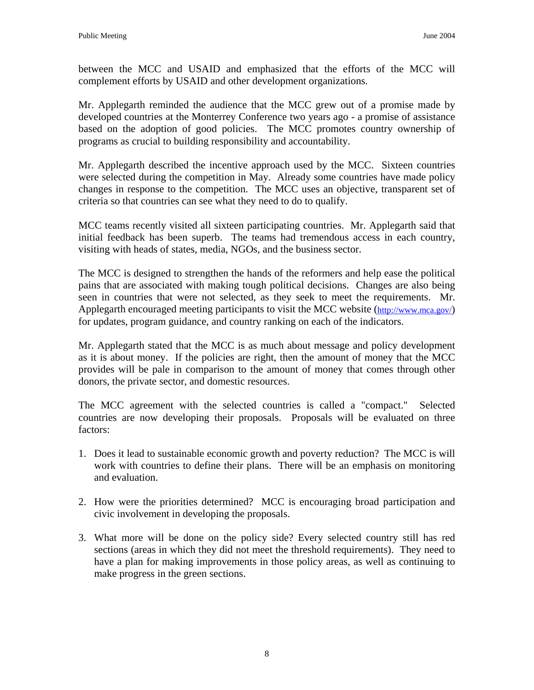between the MCC and USAID and emphasized that the efforts of the MCC will complement efforts by USAID and other development organizations.

Mr. Applegarth reminded the audience that the MCC grew out of a promise made by developed countries at the Monterrey Conference two years ago - a promise of assistance based on the adoption of good policies. The MCC promotes country ownership of programs as crucial to building responsibility and accountability.

Mr. Applegarth described the incentive approach used by the MCC. Sixteen countries were selected during the competition in May. Already some countries have made policy changes in response to the competition. The MCC uses an objective, transparent set of criteria so that countries can see what they need to do to qualify.

MCC teams recently visited all sixteen participating countries. Mr. Applegarth said that initial feedback has been superb. The teams had tremendous access in each country, visiting with heads of states, media, NGOs, and the business sector.

The MCC is designed to strengthen the hands of the reformers and help ease the political pains that are associated with making tough political decisions. Changes are also being seen in countries that were not selected, as they seek to meet the requirements. Mr. Applegarth encouraged meeting participants to visit the MCC website ([http://www.mca.gov/\)](http://www.mca.gov/) for updates, program guidance, and country ranking on each of the indicators.

Mr. Applegarth stated that the MCC is as much about message and policy development as it is about money. If the policies are right, then the amount of money that the MCC provides will be pale in comparison to the amount of money that comes through other donors, the private sector, and domestic resources.

The MCC agreement with the selected countries is called a "compact." Selected countries are now developing their proposals. Proposals will be evaluated on three factors:

- 1. Does it lead to sustainable economic growth and poverty reduction? The MCC is will work with countries to define their plans. There will be an emphasis on monitoring and evaluation.
- 2. How were the priorities determined? MCC is encouraging broad participation and civic involvement in developing the proposals.
- 3. What more will be done on the policy side? Every selected country still has red sections (areas in which they did not meet the threshold requirements). They need to have a plan for making improvements in those policy areas, as well as continuing to make progress in the green sections.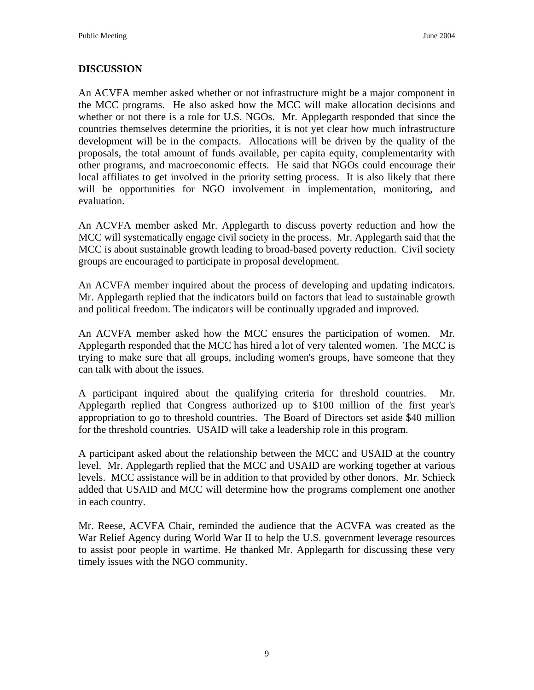## **DISCUSSION**

An ACVFA member asked whether or not infrastructure might be a major component in the MCC programs. He also asked how the MCC will make allocation decisions and whether or not there is a role for U.S. NGOs. Mr. Applegarth responded that since the countries themselves determine the priorities, it is not yet clear how much infrastructure development will be in the compacts. Allocations will be driven by the quality of the proposals, the total amount of funds available, per capita equity, complementarity with other programs, and macroeconomic effects. He said that NGOs could encourage their local affiliates to get involved in the priority setting process. It is also likely that there will be opportunities for NGO involvement in implementation, monitoring, and evaluation.

An ACVFA member asked Mr. Applegarth to discuss poverty reduction and how the MCC will systematically engage civil society in the process. Mr. Applegarth said that the MCC is about sustainable growth leading to broad-based poverty reduction. Civil society groups are encouraged to participate in proposal development.

An ACVFA member inquired about the process of developing and updating indicators. Mr. Applegarth replied that the indicators build on factors that lead to sustainable growth and political freedom. The indicators will be continually upgraded and improved.

An ACVFA member asked how the MCC ensures the participation of women. Mr. Applegarth responded that the MCC has hired a lot of very talented women. The MCC is trying to make sure that all groups, including women's groups, have someone that they can talk with about the issues.

A participant inquired about the qualifying criteria for threshold countries. Mr. Applegarth replied that Congress authorized up to \$100 million of the first year's appropriation to go to threshold countries. The Board of Directors set aside \$40 million for the threshold countries. USAID will take a leadership role in this program.

A participant asked about the relationship between the MCC and USAID at the country level. Mr. Applegarth replied that the MCC and USAID are working together at various levels. MCC assistance will be in addition to that provided by other donors. Mr. Schieck added that USAID and MCC will determine how the programs complement one another in each country.

Mr. Reese, ACVFA Chair, reminded the audience that the ACVFA was created as the War Relief Agency during World War II to help the U.S. government leverage resources to assist poor people in wartime. He thanked Mr. Applegarth for discussing these very timely issues with the NGO community.